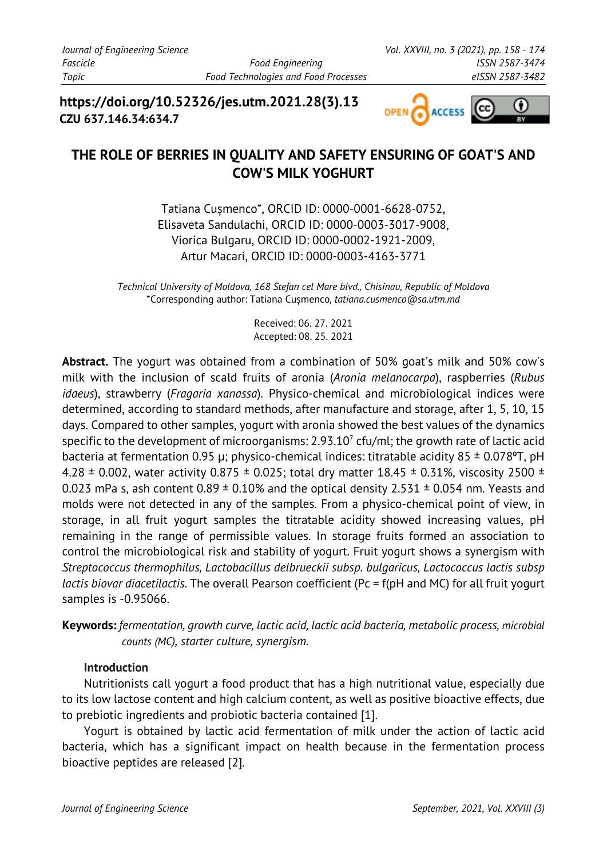**https://doi.org/10.52326/jes.utm.2021.28(3).13 CZU 637.146.34:634.7**



# **THE ROLE OF BERRIES IN QUALITY AND SAFETY ENSURING OF GOAT'S AND COW'S MILK YOGHURT**

Tatiana Cușmenco\*, ORCID ID: 0000-0001-6628-0752, Elisaveta Sandulachi, ORCID ID: 0000-0003-3017-9008, Viorica Bulgaru, ORCID ID: 0000-0002-1921-2009, Artur Macari, ORCID ID: 0000-0003-4163-3771

*Technical University of Moldova, 168 Stefan cel Mare blvd., Chisinau, Republic of Moldova* \*Corresponding author: Tatiana Cușmenco*, tatiana.cusmenco@sa.utm.md*

> Received: 06. 27. 2021 Accepted: 08. 25. 2021

**Abstract.** The yogurt was obtained from a combination of 50% goat's milk and 50% cow's milk with the inclusion of scald fruits of aronia (*Aronia melanocarpa*), raspberries (*Rubus idaeus*), strawberry (*Fragaria xanassa*). Physico-chemical and microbiological indices were determined, according to standard methods, after manufacture and storage, after 1, 5, 10, 15 days. Compared to other samples, yogurt with aronia showed the best values of the dynamics specific to the development of microorganisms:  $2.93.10<sup>7</sup>$  cfu/ml; the growth rate of lactic acid bacteria at fermentation 0.95 μ; physico-chemical indices: titratable acidity 85  $\pm$  0.078°T, pH 4.28  $\pm$  0.002, water activity 0.875  $\pm$  0.025; total dry matter 18.45  $\pm$  0.31%, viscosity 2500  $\pm$ 0.023 mPa s, ash content  $0.89 \pm 0.10\%$  and the optical density 2.531  $\pm$  0.054 nm. Yeasts and molds were not detected in any of the samples. From a physico-chemical point of view, in storage, in all fruit yogurt samples the titratable acidity showed increasing values, pH remaining in the range of permissible values. In storage fruits formed an association to control the microbiological risk and stability of yogurt. Fruit yogurt shows a synergism with *Streptococcus thermophilus, Lactobacillus delbrueckii subsp. bulgaricus, Lactococcus lactis subsp lactis biovar diacetilactis*. The overall Pearson coefficient (Pc = f(pH and MC) for all fruit yogurt samples is -0.95066.

**Keywords:** *fermentation, growth curve, lactic acid, lactic acid bacteria, metabolic process, microbial counts (MC), starter culture, synergism.*

#### **Introduction**

Nutritionists call yogurt a food product that has a high nutritional value, especially due to its low lactose content and high calcium content, as well as positive bioactive effects, due to prebiotic ingredients and probiotic bacteria contained [1].

Yogurt is obtained by lactic acid fermentation of milk under the action of lactic acid bacteria, which has a significant impact on health because in the fermentation process bioactive peptides are released [2].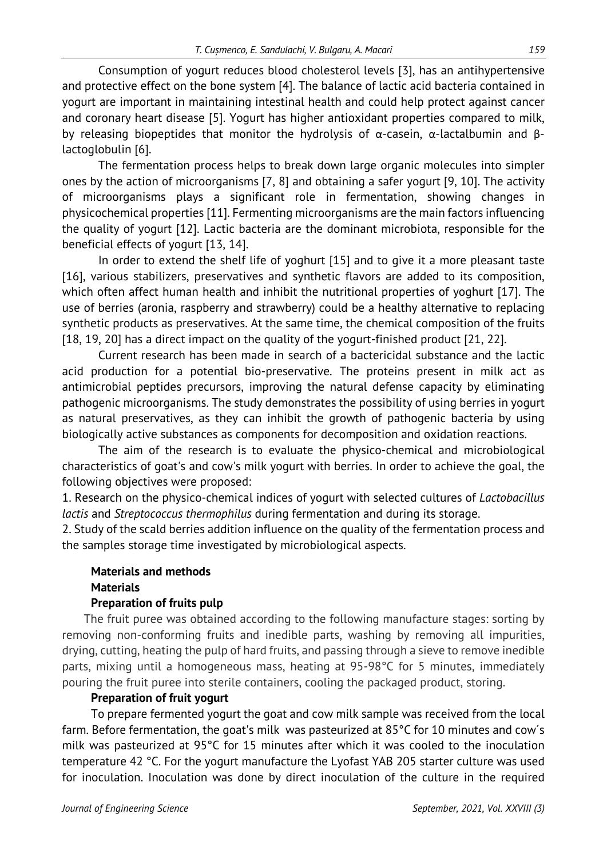Consumption of yogurt reduces blood cholesterol levels [3], has an antihypertensive and protective effect on the bone system [4]. The balance of lactic acid bacteria contained in yogurt are important in maintaining intestinal health and could help protect against cancer and coronary heart disease [5]. Yogurt has higher antioxidant properties compared to milk, by releasing biopeptides that monitor the hydrolysis of α-casein, α-lactalbumin and βlactoglobulin [6].

The fermentation process helps to break down large organic molecules into simpler ones by the action of microorganisms [7, 8] and obtaining a safer yogurt [9, 10]. The activity of microorganisms plays a significant role in fermentation, showing changes in physicochemical properties [11]. Fermenting microorganisms are the main factors influencing the quality of yogurt [12]. Lactic bacteria are the dominant microbiota, responsible for the beneficial effects of yogurt [13, 14].

In order to extend the shelf life of yoghurt [15] and to give it a more pleasant taste [16], various stabilizers, preservatives and synthetic flavors are added to its composition, which often affect human health and inhibit the nutritional properties of yoghurt [17]. The use of berries (aronia, raspberry and strawberry) could be a healthy alternative to replacing synthetic products as preservatives. At the same time, the chemical composition of the fruits [18, 19, 20] has a direct impact on the quality of the yogurt-finished product [21, 22].

Current research has been made in search of a bactericidal substance and the lactic acid production for a potential bio-preservative. The proteins present in milk act as antimicrobial peptides precursors, improving the natural defense capacity by eliminating pathogenic microorganisms. The study demonstrates the possibility of using berries in yogurt as natural preservatives, as they can inhibit the growth of pathogenic bacteria by using biologically active substances as components for decomposition and oxidation reactions.

The aim of the research is to evaluate the physico-chemical and microbiological characteristics of goat's and cow's milk yogurt with berries. In order to achieve the goal, the following objectives were proposed:

1. Research on the physico-chemical indices of yogurt with selected cultures of *Lactobacillus lactis* and *Streptococcus thermophilus* during fermentation and during its storage.

2. Study of the scald berries addition influence on the quality of the fermentation process and the samples storage time investigated by microbiological aspects.

## **Materials and methods Materials**

#### **Preparation of fruits pulp**

The fruit puree was obtained according to the following manufacture stages: sorting by removing non-conforming fruits and inedible parts, washing by removing all impurities, drying, cutting, heating the pulp of hard fruits, and passing through a sieve to remove inedible parts, mixing until a homogeneous mass, heating at 95-98°C for 5 minutes, immediately pouring the fruit puree into sterile containers, cooling the packaged product, storing.

#### **Preparation of fruit yogurt**

To prepare fermented yogurt the goat and cow milk sample was received from the local farm. Before fermentation, the goat's milk was pasteurized at 85°C for 10 minutes and cow´s milk was pasteurized at 95°C for 15 minutes after which it was cooled to the inoculation temperature 42 °C. For the yogurt manufacture the Lyofast YAB 205 starter culture was used for inoculation. Inoculation was done by direct inoculation of the culture in the required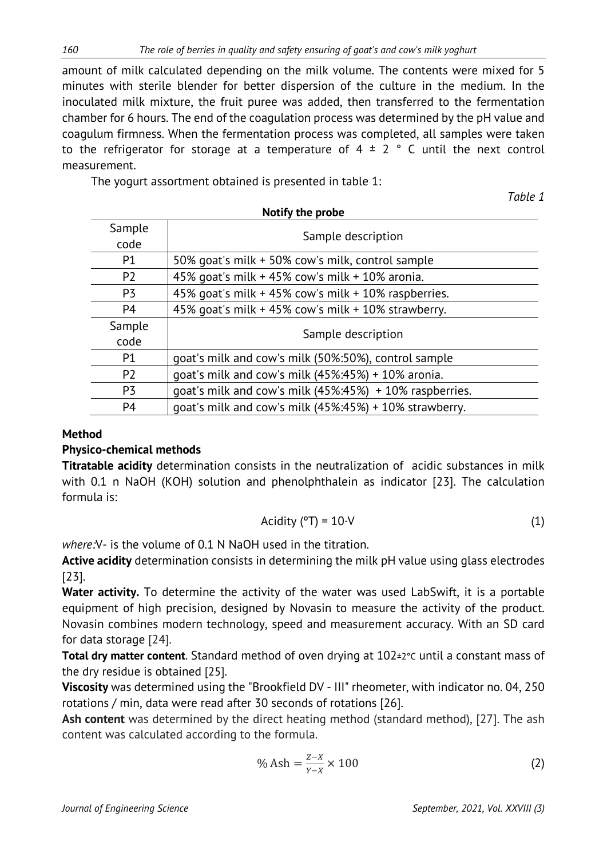amount of milk calculated depending on the milk volume. The contents were mixed for 5 minutes with sterile blender for better dispersion of the culture in the medium. In the inoculated milk mixture, the fruit puree was added, then transferred to the fermentation chamber for 6 hours. The end of the coagulation process was determined by the pH value and coagulum firmness. When the fermentation process was completed, all samples were taken to the refrigerator for storage at a temperature of  $4 \pm 2$  ° C until the next control measurement.

The yogurt assortment obtained is presented in table 1:

| <b>NOTITY THE ProDE</b> |                                                             |  |  |  |  |
|-------------------------|-------------------------------------------------------------|--|--|--|--|
| Sample                  | Sample description                                          |  |  |  |  |
| code                    |                                                             |  |  |  |  |
| P <sub>1</sub>          | 50% goat's milk + 50% cow's milk, control sample            |  |  |  |  |
| P <sub>2</sub>          | 45% goat's milk + 45% cow's milk + 10% aronia.              |  |  |  |  |
| P <sub>3</sub>          | 45% goat's milk + 45% cow's milk + 10% raspberries.         |  |  |  |  |
| P <sub>4</sub>          | 45% goat's milk + 45% cow's milk + 10% strawberry.          |  |  |  |  |
| Sample                  | Sample description                                          |  |  |  |  |
| code                    |                                                             |  |  |  |  |
| <b>P1</b>               | goat's milk and cow's milk (50%:50%), control sample        |  |  |  |  |
| P <sub>2</sub>          | goat's milk and cow's milk $(45\%:45\%) + 10\%$ aronia.     |  |  |  |  |
| P <sub>3</sub>          | goat's milk and cow's milk (45%:45%) + 10% raspberries.     |  |  |  |  |
| P <sub>4</sub>          | goat's milk and cow's milk $(45\%:45\%) + 10\%$ strawberry. |  |  |  |  |

#### **Notify the probe**

#### **Method**

#### **Physico-chemical methods**

**Titratable acidity** determination consists in the neutralization of acidic substances in milk with 0.1 n NaOH (KOH) solution and phenolphthalein as indicator [23]. The calculation formula is:

$$
Acidity (°T) = 10 \cdot V \tag{1}
$$

*where:*V- is the volume of 0.1 N NaOH used in the titration.

**Active acidity** determination consists in determining the milk pH value using glass electrodes [23].

Water activity. To determine the activity of the water was used LabSwift, it is a portable equipment of high precision, designed by Novasin to measure the activity of the product. Novasin combines modern technology, speed and measurement accuracy. With an SD card for data storage [24].

**Total dry matter content**. Standard method of oven drying at 102±2°C until a constant mass of the dry residue is obtained [25].

**Viscosity** was determined using the "Brookfield DV - III" rheometer, with indicator no. 04, 250 rotations / min, data were read after 30 seconds of rotations [26].

**Ash content** was determined by the direct heating method (standard method), [27]. The ash content was calculated according to the formula.

$$
\% \text{ Ash} = \frac{Z - X}{Y - X} \times 100 \tag{2}
$$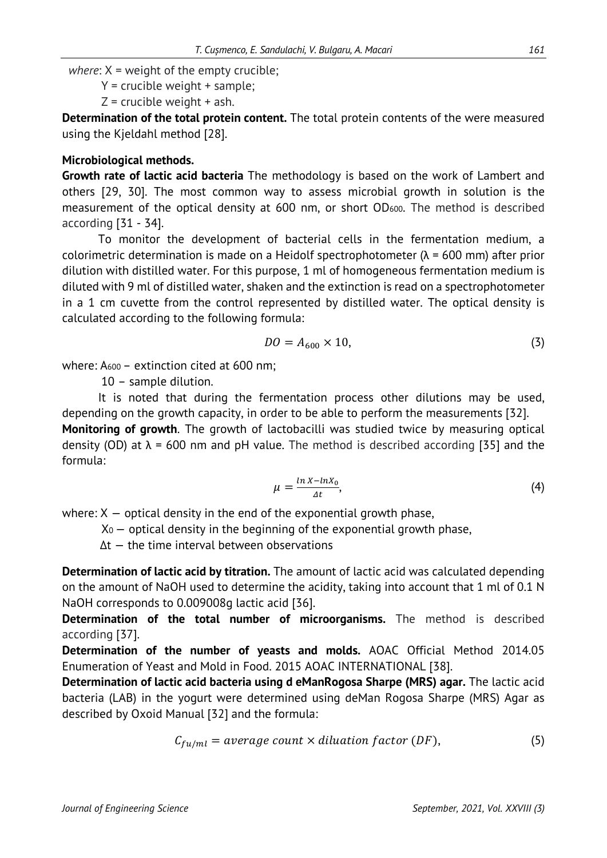*where*:  $X =$  weight of the empty crucible;

 $Y =$  crucible weight + sample:

 $Z$  = crucible weight + ash.

**Determination of the total protein content.** The total protein contents of the were measured using the Kjeldahl method [28].

#### **Microbiological methods.**

**Growth rate of lactic acid bacteria** The methodology is based on the work of Lambert and others [29, 30]. The most common way to assess microbial growth in solution is the measurement of the optical density at 600 nm, or short OD600. The method is described according [31 - 34].

To monitor the development of bacterial cells in the fermentation medium, a colorimetric determination is made on a Heidolf spectrophotometer ( $\lambda$  = 600 mm) after prior dilution with distilled water. For this purpose, 1 ml of homogeneous fermentation medium is diluted with 9 ml of distilled water, shaken and the extinction is read on a spectrophotometer in a 1 cm cuvette from the control represented by distilled water. The optical density is calculated according to the following formula:

$$
DO = A_{600} \times 10,
$$
\n<sup>(3)</sup>

where: A<sub>600</sub> – extinction cited at 600 nm;

10 – sample dilution.

It is noted that during the fermentation process other dilutions may be used, depending on the growth capacity, in order to be able to perform the measurements [32].

**Monitoring of growth**. The growth of lactobacilli was studied twice by measuring optical density (OD) at  $\lambda$  = 600 nm and pH value. The method is described according [35] and the formula:

$$
\mu = \frac{\ln X - \ln X_0}{\Delta t},\tag{4}
$$

where:  $X -$  optical density in the end of the exponential growth phase,

 $X<sub>0</sub>$  – optical density in the beginning of the exponential growth phase,

Δt — the time interval between observations

**Determination of lactic acid by titration.** The amount of lactic acid was calculated depending on the amount of NaOH used to determine the acidity, taking into account that 1 ml of 0.1 N NaOH corresponds to 0.009008g lactic acid [36].

**Determination of the total number of microorganisms.** The method is described according [37].

**Determination of the number of yeasts and molds.** AOAC Official Method 2014.05 Enumeration of Yeast and Mold in Food. 2015 AOAC INTERNATIONAL [38].

**Determination of lactic acid bacteria using d eManRogosa Sharpe (MRS) agar.** The lactic acid bacteria (LAB) in the yogurt were determined using deMan Rogosa Sharpe (MRS) Agar as described by Oxoid Manual [32] and the formula:

$$
C_{fu/ml} = average count \times diluation factor (DF), \qquad (5)
$$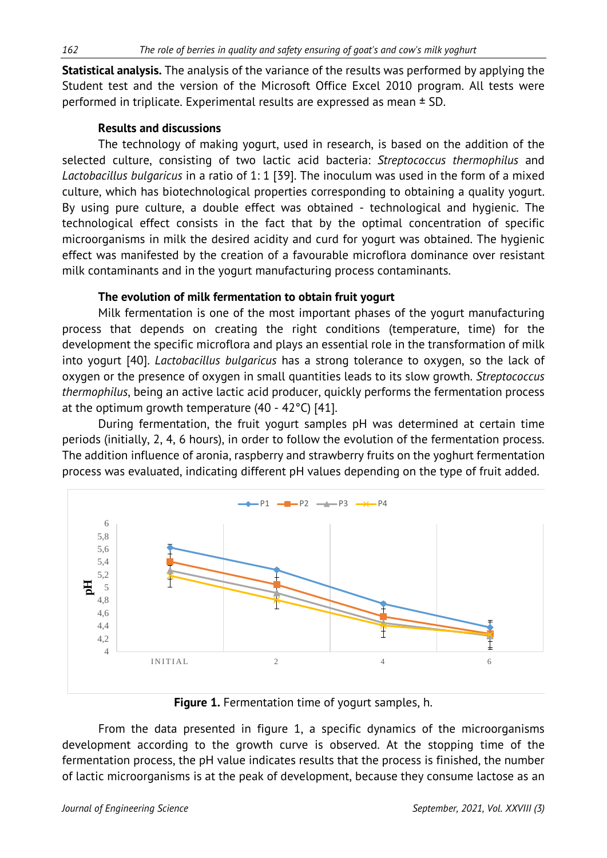**Statistical analysis.** The analysis of the variance of the results was performed by applying the Student test and the version of the Microsoft Office Excel 2010 program. All tests were performed in triplicate. Experimental results are expressed as mean ± SD.

### **Results and discussions**

The technology of making yogurt, used in research, is based on the addition of the selected culture, consisting of two lactic acid bacteria: *Streptococcus thermophilus* and *Lactobacillus bulgaricus* in a ratio of 1: 1 [39]. The inoculum was used in the form of a mixed culture, which has biotechnological properties corresponding to obtaining a quality yogurt. By using pure culture, a double effect was obtained - technological and hygienic. The technological effect consists in the fact that by the optimal concentration of specific microorganisms in milk the desired acidity and curd for yogurt was obtained. The hygienic effect was manifested by the creation of a favourable microflora dominance over resistant milk contaminants and in the yogurt manufacturing process contaminants.

### **The evolution of milk fermentation to obtain fruit yogurt**

Milk fermentation is one of the most important phases of the yogurt manufacturing process that depends on creating the right conditions (temperature, time) for the development the specific microflora and plays an essential role in the transformation of milk into yogurt [40]. *Lactobacillus bulgaricus* has a strong tolerance to oxygen, so the lack of oxygen or the presence of oxygen in small quantities leads to its slow growth. *Streptococcus thermophilus*, being an active lactic acid producer, quickly performs the fermentation process at the optimum growth temperature (40 - 42°C) [41].

During fermentation, the fruit yogurt samples pH was determined at certain time periods (initially, 2, 4, 6 hours), in order to follow the evolution of the fermentation process. The addition influence of aronia, raspberry and strawberry fruits on the yoghurt fermentation process was evaluated, indicating different pH values depending on the type of fruit added.



**Figure 1.** Fermentation time of yogurt samples, h.

From the data presented in figure 1, a specific dynamics of the microorganisms development according to the growth curve is observed. At the stopping time of the fermentation process, the pH value indicates results that the process is finished, the number of lactic microorganisms is at the peak of development, because they consume lactose as an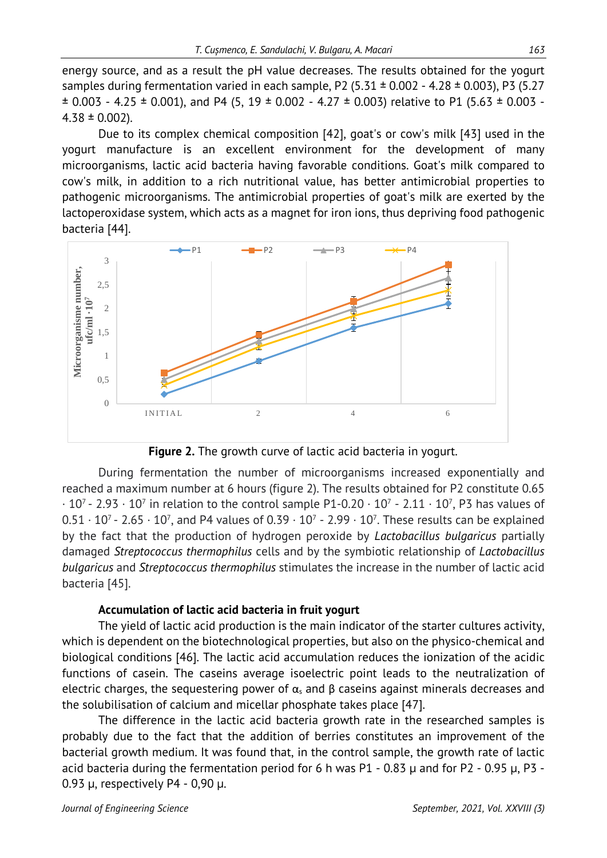energy source, and as a result the pH value decreases. The results obtained for the yogurt samples during fermentation varied in each sample, P2 (5.31  $\pm$  0.002 - 4.28  $\pm$  0.003), P3 (5.27  $\pm$  0.003 - 4.25  $\pm$  0.001), and P4 (5, 19  $\pm$  0.002 - 4.27  $\pm$  0.003) relative to P1 (5.63  $\pm$  0.003 - $4.38 \pm 0.002$ ).

Due to its complex chemical composition [42], goat's or cow's milk [43] used in the yogurt manufacture is an excellent environment for the development of many microorganisms, lactic acid bacteria having favorable conditions. Goat's milk compared to cow's milk, in addition to a rich nutritional value, has better antimicrobial properties to pathogenic microorganisms. The antimicrobial properties of goat's milk are exerted by the lactoperoxidase system, which acts as a magnet for iron ions, thus depriving food pathogenic bacteria [44].



**Figure 2.** The growth curve of lactic acid bacteria in yogurt.

During fermentation the number of microorganisms increased exponentially and reached a maximum number at 6 hours (figure 2). The results obtained for P2 constitute 0.65  $\cdot$  10<sup>7</sup> - 2.93  $\cdot$  10<sup>7</sup> in relation to the control sample P1-0.20  $\cdot$  10<sup>7</sup> - 2.11  $\cdot$  10<sup>7</sup>, P3 has values of  $0.51 \cdot 10^7$  - 2.65  $\cdot 10^7$ , and P4 values of 0.39  $\cdot 10^7$  - 2.99  $\cdot 10^7$ . These results can be explained by the fact that the production of hydrogen peroxide by *Lactobacillus bulgaricus* partially damaged *Streptococcus thermophilus* cells and by the symbiotic relationship of *Lactobacillus bulgaricus* and *Streptococcus thermophilus* stimulates the increase in the number of lactic acid bacteria [45].

#### **Accumulation of lactic acid bacteria in fruit yogurt**

The yield of lactic acid production is the main indicator of the starter cultures activity, which is dependent on the biotechnological properties, but also on the physico-chemical and biological conditions [46]. The lactic acid accumulation reduces the ionization of the acidic functions of casein. The caseins average isoelectric point leads to the neutralization of electric charges, the sequestering power of  $\alpha_s$  and  $\beta$  caseins against minerals decreases and the solubilisation of calcium and micellar phosphate takes place [47].

The difference in the lactic acid bacteria growth rate in the researched samples is probably due to the fact that the addition of berries constitutes an improvement of the bacterial growth medium. It was found that, in the control sample, the growth rate of lactic acid bacteria during the fermentation period for 6 h was  $P1 - 0.83 \mu$  and for P2 - 0.95  $\mu$ , P3 -0.93 μ, respectively P4 - 0,90 μ.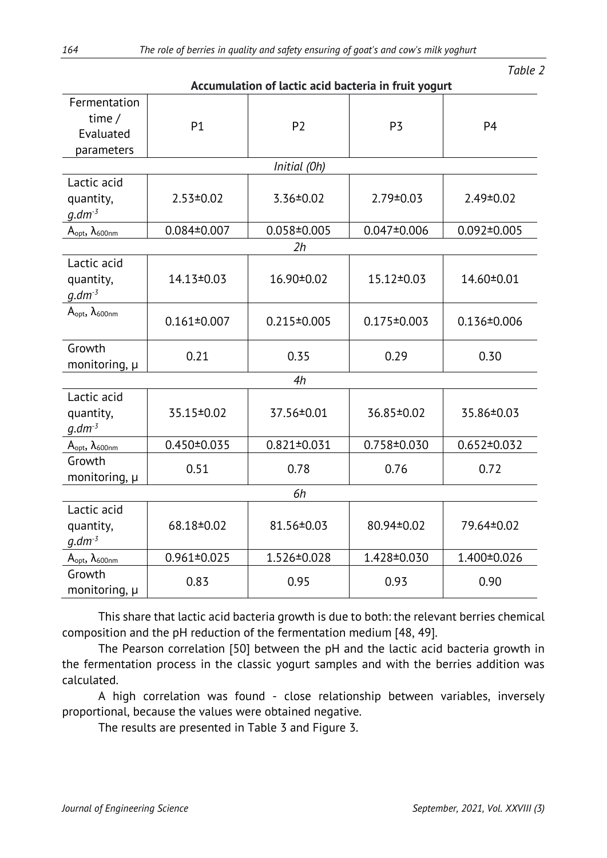| Accumulation of lactic acid bacteria in fruit yogurt |                   |                   |                   |                   |  |  |
|------------------------------------------------------|-------------------|-------------------|-------------------|-------------------|--|--|
| Fermentation<br>time $/$<br>Evaluated<br>parameters  | P1                | P <sub>2</sub>    | P <sub>3</sub>    | P <sub>4</sub>    |  |  |
|                                                      |                   | Initial (Oh)      |                   |                   |  |  |
| Lactic acid<br>quantity,<br>$q.dm-3$                 | $2.53 \pm 0.02$   | $3.36 \pm 0.02$   | $2.79 \pm 0.03$   | 2.49±0.02         |  |  |
| $A_{opt}$ , $\lambda_{600nm}$                        | $0.084 \pm 0.007$ | $0.058 \pm 0.005$ | $0.047 \pm 0.006$ | $0.092 \pm 0.005$ |  |  |
|                                                      |                   | 2h                |                   |                   |  |  |
| Lactic acid<br>quantity,<br>$q.dm-3$                 | 14.13±0.03        | 16.90±0.02        | 15.12±0.03        | 14.60±0.01        |  |  |
| $A_{opt}$ , $\lambda_{600nm}$                        | $0.161 \pm 0.007$ | $0.215 \pm 0.005$ | $0.175 \pm 0.003$ | $0.136 \pm 0.006$ |  |  |
| Growth<br>monitoring, $\mu$                          | 0.21              | 0.35              | 0.29              | 0.30              |  |  |
| 4h                                                   |                   |                   |                   |                   |  |  |
| Lactic acid<br>quantity,<br>$g.dm-3$                 | 35.15±0.02        | 37.56±0.01        | 36.85±0.02        | 35.86±0.03        |  |  |
| $A_{opt}$ , $\lambda_{600nm}$                        | $0.450 \pm 0.035$ | $0.821 \pm 0.031$ | $0.758 \pm 0.030$ | $0.652 \pm 0.032$ |  |  |
| Growth<br>monitoring, $\mu$                          | 0.51              | 0.78              | 0.76              | 0.72              |  |  |
| 6h                                                   |                   |                   |                   |                   |  |  |
| Lactic acid<br>quantity,<br>$q.dm-3$                 | 68.18±0.02        | 81.56±0.03        | 80.94±0.02        | 79.64±0.02        |  |  |
| $A_{opt}$ , $\lambda_{600nm}$                        | $0.961 \pm 0.025$ | 1.526±0.028       | 1.428±0.030       | 1.400±0.026       |  |  |
| Growth<br>monitoring, µ                              | 0.83              | 0.95              | 0.93              | 0.90              |  |  |

This share that lactic acid bacteria growth is due to both: the relevant berries chemical composition and the pH reduction of the fermentation medium [48, 49].

The Pearson correlation [50] between the pH and the lactic acid bacteria growth in the fermentation process in the classic yogurt samples and with the berries addition was calculated.

A high correlation was found - close relationship between variables, inversely proportional, because the values were obtained negative.

The results are presented in Table 3 and Figure 3.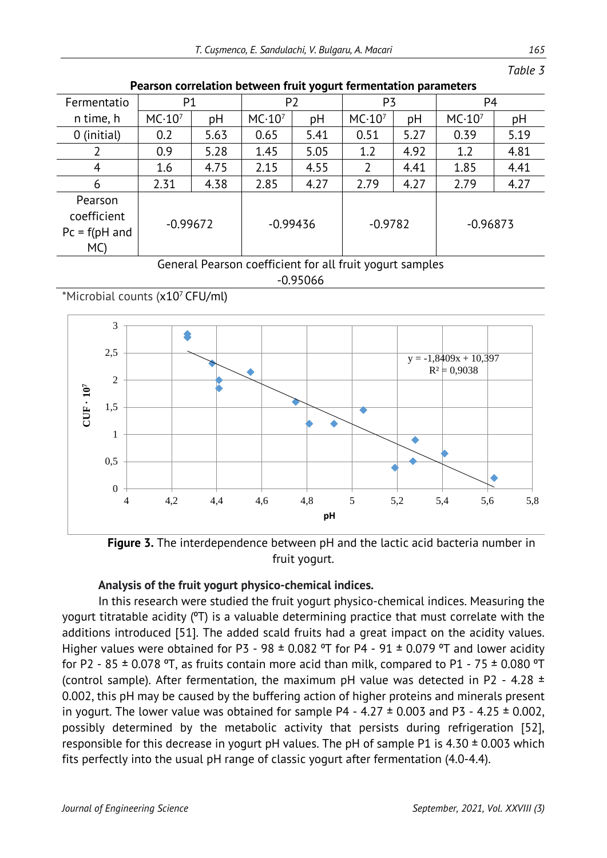| r carson correlation between mult yogurt remientation parameters |                    |      |                    |            |                    |      |                    |      |
|------------------------------------------------------------------|--------------------|------|--------------------|------------|--------------------|------|--------------------|------|
| Fermentatio                                                      | P1                 |      | P <sub>2</sub>     |            | P3                 |      | P <sub>4</sub>     |      |
| n time, h                                                        | MC·10 <sup>7</sup> | pH   | MC·10 <sup>7</sup> | pH         | MC·10 <sup>7</sup> | pH   | MC·10 <sup>7</sup> | рH   |
| 0 (initial)                                                      | 0.2                | 5.63 | 0.65               | 5.41       | 0.51               | 5.27 | 0.39               | 5.19 |
|                                                                  | 0.9                | 5.28 | 1.45               | 5.05       | 1.2                | 4.92 | 1.2                | 4.81 |
| 4                                                                | 1.6                | 4.75 | 2.15               | 4.55       | 2                  | 4.41 | 1.85               | 4.41 |
| 6                                                                | 2.31               | 4.38 | 2.85               | 4.27       | 2.79               | 4.27 | 2.79               | 4.27 |
| Pearson<br>coefficient<br>$Pc = f(pH$ and<br>MC                  | $-0.99672$         |      |                    | $-0.99436$ | $-0.9782$          |      | $-0.96873$         |      |

#### **Pearson correlation between fruit yogurt fermentation parameters**

General Pearson coefficient for all fruit yogurt samples

#### -0.95066

\*Microbial counts (x107 CFU/ml)



**Figure 3.** The interdependence between pH and the lactic acid bacteria number in fruit yogurt.

### **Analysis of the fruit yogurt physico-chemical indices.**

In this research were studied the fruit yogurt physico-chemical indices. Measuring the yogurt titratable acidity (°T) is a valuable determining practice that must correlate with the additions introduced [51]. The added scald fruits had a great impact on the acidity values. Higher values were obtained for P3 - 98  $\pm$  0.082 °T for P4 - 91  $\pm$  0.079 °T and lower acidity for P2 - 85  $\pm$  0.078 °T, as fruits contain more acid than milk, compared to P1 - 75  $\pm$  0.080 °T (control sample). After fermentation, the maximum pH value was detected in P2 - 4.28  $\pm$ 0.002, this pH may be caused by the buffering action of higher proteins and minerals present in yogurt. The lower value was obtained for sample P4 - 4.27  $\pm$  0.003 and P3 - 4.25  $\pm$  0.002, possibly determined by the metabolic activity that persists during refrigeration [52], responsible for this decrease in yogurt pH values. The pH of sample P1 is  $4.30 \pm 0.003$  which fits perfectly into the usual pH range of classic yogurt after fermentation (4.0-4.4).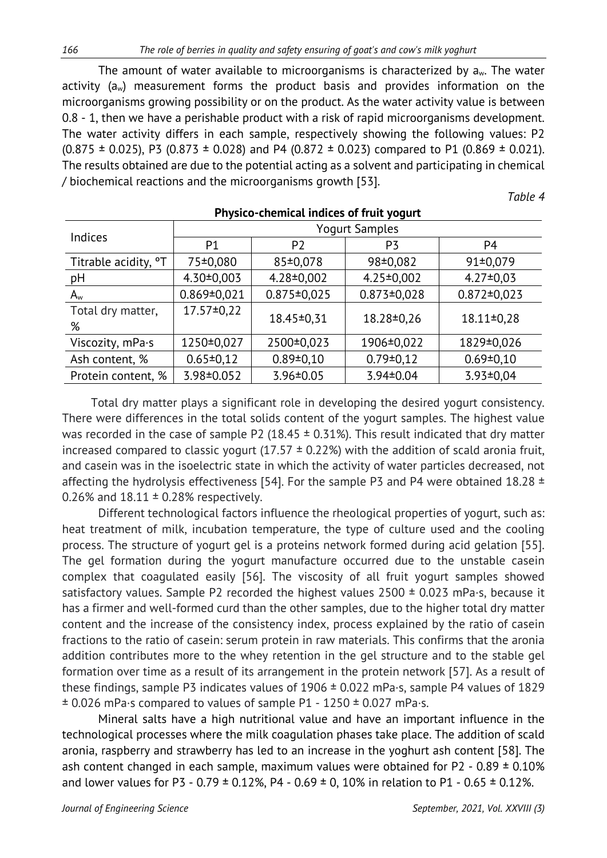The amount of water available to microorganisms is characterized by  $a_w$ . The water activity (aw) measurement forms the product basis and provides information on the microorganisms growing possibility or on the product. As the water activity value is between 0.8 - 1, then we have a perishable product with a risk of rapid microorganisms development. The water activity differs in each sample, respectively showing the following values: P2  $(0.875 \pm 0.025)$ , P3  $(0.873 \pm 0.028)$  and P4  $(0.872 \pm 0.023)$  compared to P1  $(0.869 \pm 0.021)$ . The results obtained are due to the potential acting as a solvent and participating in chemical / biochemical reactions and the microorganisms growth [53].

*Table 4*

| THREE CHAINS HURSES OF HAIL TOULE |                       |                   |                   |                   |  |  |
|-----------------------------------|-----------------------|-------------------|-------------------|-------------------|--|--|
| Indices                           | <b>Yogurt Samples</b> |                   |                   |                   |  |  |
|                                   | P <sub>1</sub>        | P <sub>2</sub>    | P3                | P <sub>4</sub>    |  |  |
| Titrable acidity, <sup>o</sup> T  | 75±0,080              | 85±0,078          | 98±0,082          | 91±0,079          |  |  |
| pH                                | $4.30 \pm 0.003$      | $4.28 \pm 0.002$  | $4.25 \pm 0.002$  | $4.27 \pm 0.03$   |  |  |
| $A_{w}$                           | $0.869 \pm 0.021$     | $0.875 \pm 0.025$ | $0.873 \pm 0.028$ | $0.872 \pm 0.023$ |  |  |
| Total dry matter,<br>%            | $17.57 \pm 0.22$      | 18.45±0,31        | 18.28±0,26        | $18.11 \pm 0.28$  |  |  |
| Viscozity, mPa.s                  | 1250±0,027            | 2500±0,023        | 1906±0,022        | 1829±0,026        |  |  |
| Ash content, %                    | $0.65 \pm 0.12$       | $0.89 \pm 0.10$   | $0.79 \pm 0.12$   | $0.69 \pm 0.10$   |  |  |
| Protein content, %                | $3.98 \pm 0.052$      | $3.96 \pm 0.05$   | 3.94±0.04         | $3.93 \pm 0.04$   |  |  |

# **Physico-chemical indices of fruit yogurt**

Total dry matter plays a significant role in developing the desired yogurt consistency. There were differences in the total solids content of the yogurt samples. The highest value was recorded in the case of sample P2 (18.45  $\pm$  0.31%). This result indicated that dry matter increased compared to classic yogurt (17.57  $\pm$  0.22%) with the addition of scald aronia fruit, and casein was in the isoelectric state in which the activity of water particles decreased, not affecting the hydrolysis effectiveness [54]. For the sample P3 and P4 were obtained 18.28  $\pm$ 0.26% and  $18.11 \pm 0.28$ % respectively.

Different technological factors influence the rheological properties of yogurt, such as: heat treatment of milk, incubation temperature, the type of culture used and the cooling process. The structure of yogurt gel is a proteins network formed during acid gelation [55]. The gel formation during the yogurt manufacture occurred due to the unstable casein complex that coagulated easily [56]. The viscosity of all fruit yogurt samples showed satisfactory values. Sample P2 recorded the highest values  $2500 \pm 0.023$  mPa·s, because it has a firmer and well-formed curd than the other samples, due to the higher total dry matter content and the increase of the consistency index, process explained by the ratio of casein fractions to the ratio of casein: serum protein in raw materials. This confirms that the aronia addition contributes more to the whey retention in the gel structure and to the stable gel formation over time as a result of its arrangement in the protein network [57]. As a result of these findings, sample P3 indicates values of 1906 ± 0.022 mPa·s, sample P4 values of 1829  $\pm$  0.026 mPa·s compared to values of sample P1 - 1250  $\pm$  0.027 mPa·s.

Mineral salts have a high nutritional value and have an important influence in the technological processes where the milk coagulation phases take place. The addition of scald aronia, raspberry and strawberry has led to an increase in the yoghurt ash content [58]. The ash content changed in each sample, maximum values were obtained for P2 -  $0.89 \pm 0.10\%$ and lower values for P3 - 0.79  $\pm$  0.12%, P4 - 0.69  $\pm$  0, 10% in relation to P1 - 0.65  $\pm$  0.12%.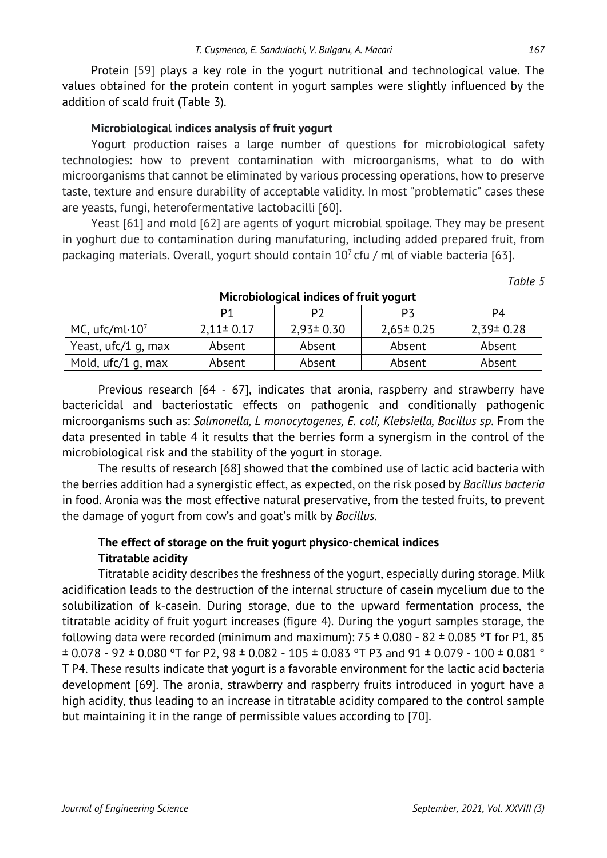Protein [59] plays a key role in the yogurt nutritional and technological value. The values obtained for the protein content in yogurt samples were slightly influenced by the addition of scald fruit (Table 3).

### **Microbiological indices analysis of fruit yogurt**

Yogurt production raises a large number of questions for microbiological safety technologies: how to prevent contamination with microorganisms, what to do with microorganisms that cannot be eliminated by various processing operations, how to preserve taste, texture and ensure durability of acceptable validity. In most "problematic" cases these are yeasts, fungi, heterofermentative lactobacilli [60].

Yeast [61] and mold [62] are agents of yogurt microbial spoilage. They may be present in yoghurt due to contamination during manufaturing, including added prepared fruit, from packaging materials. Overall, yogurt should contain  $10<sup>7</sup>$  cfu / ml of viable bacteria [63].

|                                    |                 | <u>MICRODIOLOGICAL MUNCES OF HUIL YOUULL</u> |                 |                 |  |
|------------------------------------|-----------------|----------------------------------------------|-----------------|-----------------|--|
|                                    | P1              |                                              | <b>P3</b>       | P4              |  |
| MC, ufc/ml $\cdot$ 10 <sup>7</sup> | $2,11 \pm 0.17$ | $2.93 \pm 0.30$                              | $2,65 \pm 0.25$ | $2.39 \pm 0.28$ |  |
| Yeast, ufc/1 g, max                | Absent          | Absent                                       | Absent          | Absent          |  |
| Mold, ufc/1 g, max                 | Absent          | Absent                                       | Absent          | Absent          |  |

#### **Microbiological indices of fruit yogurt**

Previous research [64 - 67], indicates that aronia, raspberry and strawberry have bactericidal and bacteriostatic effects on pathogenic and conditionally pathogenic microorganisms such as: *Salmonella, L monocytogenes, E. coli, Klebsiella, Bacillus sp.* From the data presented in table 4 it results that the berries form a synergism in the control of the microbiological risk and the stability of the yogurt in storage.

The results of research [68] showed that the combined use of lactic acid bacteria with the berries addition had a synergistic effect, as expected, on the risk posed by *Bacillus bacteria* in food. Aronia was the most effective natural preservative, from the tested fruits, to prevent the damage of yogurt from cow's and goat's milk by *Bacillus*.

## **The effect of storage on the fruit yogurt physico-chemical indices Titratable acidity**

Titratable acidity describes the freshness of the yogurt, especially during storage. Milk acidification leads to the destruction of the internal structure of casein mycelium due to the solubilization of k-casein. During storage, due to the upward fermentation process, the titratable acidity of fruit yogurt increases (figure 4). During the yogurt samples storage, the following data were recorded (minimum and maximum):  $75 \pm 0.080 - 82 \pm 0.085$  °T for P1, 85  $\pm$  0.078 - 92  $\pm$  0.080 °T for P2, 98  $\pm$  0.082 - 105  $\pm$  0.083 °T P3 and 91  $\pm$  0.079 - 100  $\pm$  0.081 ° T P4. These results indicate that yogurt is a favorable environment for the lactic acid bacteria development [69]. The aronia, strawberry and raspberry fruits introduced in yogurt have a high acidity, thus leading to an increase in titratable acidity compared to the control sample but maintaining it in the range of permissible values according to [70].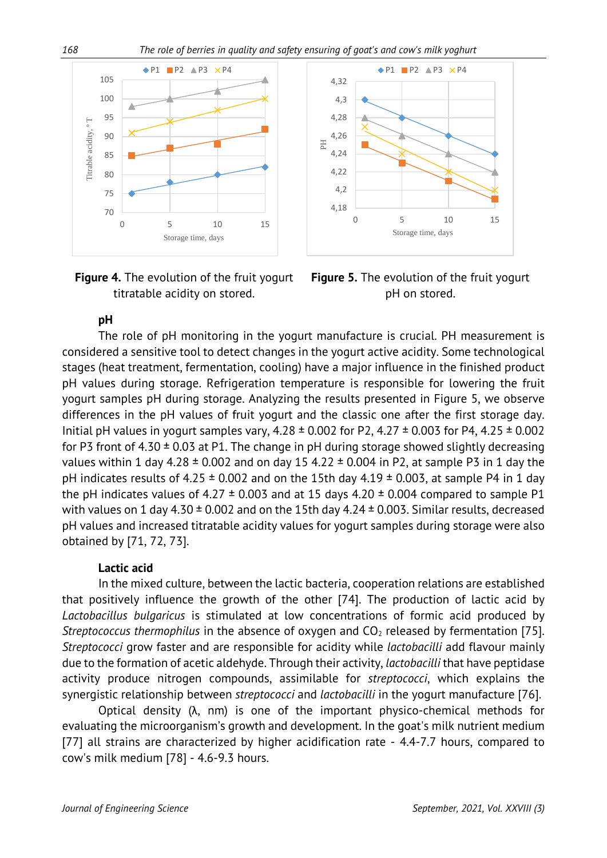

**Figure 4.** The evolution of the fruit yogurt titratable acidity on stored.



**Figure 5.** The evolution of the fruit yogurt pH on stored.

## **pH**

The role of pH monitoring in the yogurt manufacture is crucial. PH measurement is considered a sensitive tool to detect changes in the yogurt active acidity. Some technological stages (heat treatment, fermentation, cooling) have a major influence in the finished product pH values during storage. Refrigeration temperature is responsible for lowering the fruit yogurt samples pH during storage. Analyzing the results presented in Figure 5, we observe differences in the pH values of fruit yogurt and the classic one after the first storage day. Initial pH values in yogurt samples vary,  $4.28 \pm 0.002$  for P2,  $4.27 \pm 0.003$  for P4,  $4.25 \pm 0.002$ for P3 front of 4.30  $\pm$  0.03 at P1. The change in pH during storage showed slightly decreasing values within 1 day 4.28  $\pm$  0.002 and on day 15 4.22  $\pm$  0.004 in P2, at sample P3 in 1 day the pH indicates results of 4.25  $\pm$  0.002 and on the 15th day 4.19  $\pm$  0.003, at sample P4 in 1 day the pH indicates values of 4.27  $\pm$  0.003 and at 15 days 4.20  $\pm$  0.004 compared to sample P1 with values on 1 day 4.30  $\pm$  0.002 and on the 15th day 4.24  $\pm$  0.003. Similar results, decreased pH values and increased titratable acidity values for yogurt samples during storage were also obtained by [71, 72, 73].

### **Lactic acid**

In the mixed culture, between the lactic bacteria, cooperation relations are established that positively influence the growth of the other [74]. The production of lactic acid by *Lactobacillus bulgaricus* is stimulated at low concentrations of formic acid produced by *Streptococcus thermophilus* in the absence of oxygen and  $CO<sub>2</sub>$  released by fermentation [75]. *Streptococci* grow faster and are responsible for acidity while *lactobacilli* add flavour mainly due to the formation of acetic aldehyde. Through their activity, *lactobacilli* that have peptidase activity produce nitrogen compounds, assimilable for *streptococci*, which explains the synergistic relationship between *streptococci* and *lactobacilli* in the yogurt manufacture [76].

Optical density (λ, nm) is one of the important physico-chemical methods for evaluating the microorganism's growth and development. In the goat's milk nutrient medium [77] all strains are characterized by higher acidification rate - 4.4-7.7 hours, compared to cow's milk medium [78] - 4.6-9.3 hours.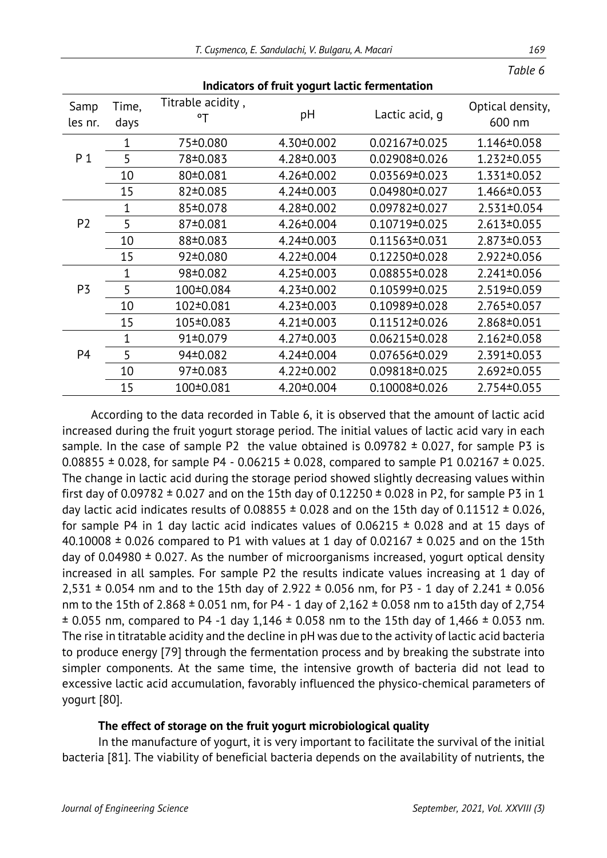| marcators or mail yogant tactic remnemation |               |                         |                  |                     |                            |  |
|---------------------------------------------|---------------|-------------------------|------------------|---------------------|----------------------------|--|
| Samp<br>les nr.                             | Time,<br>days | Titrable acidity,<br>°T | pH               | Lactic acid, q      | Optical density,<br>600 nm |  |
|                                             | 1             | 75±0.080                | $4.30 \pm 0.002$ | $0.02167 \pm 0.025$ | 1.146±0.058                |  |
| P <sub>1</sub>                              | 5             | 78±0.083                | $4.28 \pm 0.003$ | 0.02908±0.026       | 1.232±0.055                |  |
|                                             | 10            | 80±0.081                | $4.26 \pm 0.002$ | 0.03569±0.023       | 1.331±0.052                |  |
|                                             | 15            | 82±0.085                | $4.24 \pm 0.003$ | $0.04980 \pm 0.027$ | 1.466±0.053                |  |
|                                             | $\mathbf 1$   | 85±0.078                | $4.28 \pm 0.002$ | 0.09782±0.027       | 2.531±0.054                |  |
| P <sub>2</sub>                              | 5             | 87±0.081                | $4.26 \pm 0.004$ | $0.10719 \pm 0.025$ | 2.613±0.055                |  |
|                                             | 10            | 88±0.083                | $4.24 \pm 0.003$ | 0.11563±0.031       | 2.873±0.053                |  |
|                                             | 15            | 92±0.080                | $4.22 \pm 0.004$ | $0.12250 \pm 0.028$ | 2.922±0.056                |  |
|                                             | $\mathbf 1$   | 98±0.082                | $4.25 \pm 0.003$ | $0.08855 \pm 0.028$ | 2.241±0.056                |  |
| P3                                          | 5             | 100±0.084               | $4.23 \pm 0.002$ | 0.10599±0.025       | 2.519±0.059                |  |
|                                             | 10            | 102±0.081               | $4.23 \pm 0.003$ | $0.10989 \pm 0.028$ | 2.765±0.057                |  |
|                                             | 15            | 105±0.083               | $4.21 \pm 0.003$ | $0.11512 \pm 0.026$ | 2.868±0.051                |  |
|                                             | 1             | 91±0.079                | $4.27 \pm 0.003$ | $0.06215 \pm 0.028$ | 2.162±0.058                |  |
| P <sub>4</sub>                              | 5             | 94±0.082                | 4.24±0.004       | 0.07656±0.029       | 2.391±0.053                |  |
|                                             | 10            | 97±0.083                | $4.22 \pm 0.002$ | 0.09818±0.025       | 2.692±0.055                |  |
|                                             | 15            | 100±0.081               | $4.20 \pm 0.004$ | $0.10008 \pm 0.026$ | 2.754±0.055                |  |

**Indicators of fruit yogurt lactic fermentation** 

According to the data recorded in Table 6, it is observed that the amount of lactic acid increased during the fruit yogurt storage period. The initial values of lactic acid vary in each sample. In the case of sample P2 the value obtained is  $0.09782 \pm 0.027$ , for sample P3 is 0.08855  $\pm$  0.028, for sample P4 - 0.06215  $\pm$  0.028, compared to sample P1 0.02167  $\pm$  0.025. The change in lactic acid during the storage period showed slightly decreasing values within first day of 0.09782  $\pm$  0.027 and on the 15th day of 0.12250  $\pm$  0.028 in P2, for sample P3 in 1 day lactic acid indicates results of 0.08855  $\pm$  0.028 and on the 15th day of 0.11512  $\pm$  0.026, for sample P4 in 1 day lactic acid indicates values of  $0.06215 \pm 0.028$  and at 15 days of 40.10008  $\pm$  0.026 compared to P1 with values at 1 day of 0.02167  $\pm$  0.025 and on the 15th day of 0.04980  $\pm$  0.027. As the number of microorganisms increased, yogurt optical density increased in all samples. For sample P2 the results indicate values increasing at 1 day of  $2,531 \pm 0.054$  nm and to the 15th day of 2.922  $\pm$  0.056 nm, for P3 - 1 day of 2.241  $\pm$  0.056 nm to the 15th of 2.868  $\pm$  0.051 nm, for P4 - 1 day of 2,162  $\pm$  0.058 nm to a15th day of 2,754  $\pm$  0.055 nm, compared to P4 -1 day 1,146  $\pm$  0.058 nm to the 15th day of 1,466  $\pm$  0.053 nm. The rise in titratable acidity and the decline in pH was due to the activity of lactic acid bacteria to produce energy [79] through the fermentation process and by breaking the substrate into simpler components. At the same time, the intensive growth of bacteria did not lead to excessive lactic acid accumulation, favorably influenced the physico-chemical parameters of yogurt [80].

#### **The effect of storage on the fruit yogurt microbiological quality**

In the manufacture of yogurt, it is very important to facilitate the survival of the initial bacteria [81]. The viability of beneficial bacteria depends on the availability of nutrients, the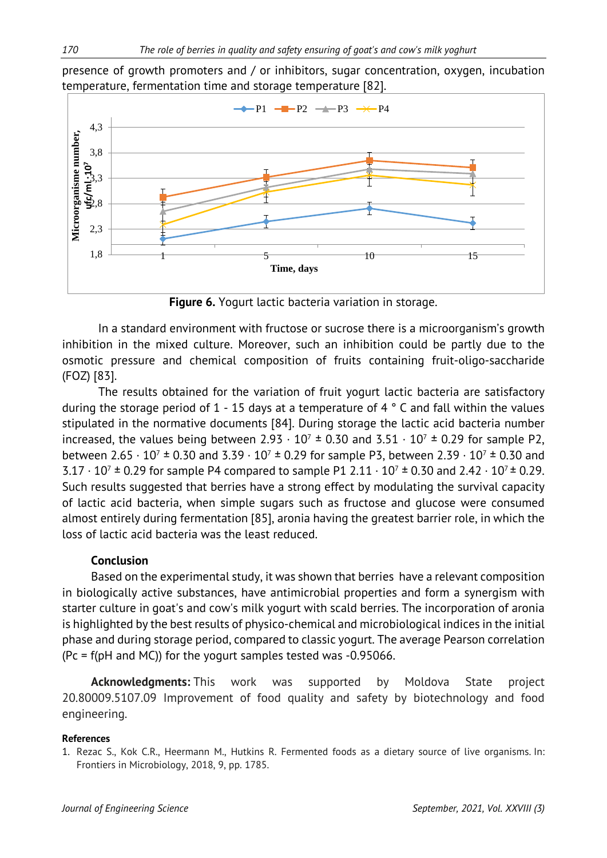presence of growth promoters and / or inhibitors, sugar concentration, oxygen, incubation temperature, fermentation time and storage temperature [82].



**Figure 6.** Yogurt lactic bacteria variation in storage.

In a standard environment with fructose or sucrose there is a microorganism's growth inhibition in the mixed culture. Moreover, such an inhibition could be partly due to the osmotic pressure and chemical composition of fruits containing fruit-oligo-saccharide (FOZ) [83].

The results obtained for the variation of fruit yogurt lactic bacteria are satisfactory during the storage period of 1 - 15 days at a temperature of 4  $\degree$  C and fall within the values stipulated in the normative documents [84]. During storage the lactic acid bacteria number increased, the values being between 2.93  $\cdot$  10<sup>7</sup>  $\pm$  0.30 and 3.51  $\cdot$  10<sup>7</sup>  $\pm$  0.29 for sample P2, between 2.65  $\cdot$  10<sup>7</sup>  $\pm$  0.30 and 3.39  $\cdot$  10<sup>7</sup>  $\pm$  0.29 for sample P3, between 2.39  $\cdot$  10<sup>7</sup>  $\pm$  0.30 and 3.17  $\cdot$  10<sup>7</sup>  $\pm$  0.29 for sample P4 compared to sample P1 2.11  $\cdot$  10<sup>7</sup>  $\pm$  0.30 and 2.42  $\cdot$  10<sup>7</sup>  $\pm$  0.29. Such results suggested that berries have a strong effect by modulating the survival capacity of lactic acid bacteria, when simple sugars such as fructose and glucose were consumed almost entirely during fermentation [85], aronia having the greatest barrier role, in which the loss of lactic acid bacteria was the least reduced.

#### **Conclusion**

Based on the experimental study, it was shown that berries have a relevant composition in biologically active substances, have antimicrobial properties and form a synergism with starter culture in goat's and cow's milk yogurt with scald berries. The incorporation of aronia is highlighted by the best results of physico-chemical and microbiological indices in the initial phase and during storage period, compared to classic yogurt. The average Pearson correlation (Pc = f(pH and MC)) for the yogurt samples tested was -0.95066.

**Acknowledgments:** This work was supported by Moldova State project 20.80009.5107.09 Improvement of food quality and safety by biotechnology and food engineering.

#### **References**

<sup>1.</sup> Rezac S., Kok C.R., Heermann M., Hutkins R. Fermented foods as a dietary source of live organisms. In: Frontiers in Microbiology, 2018, 9, pp. 1785.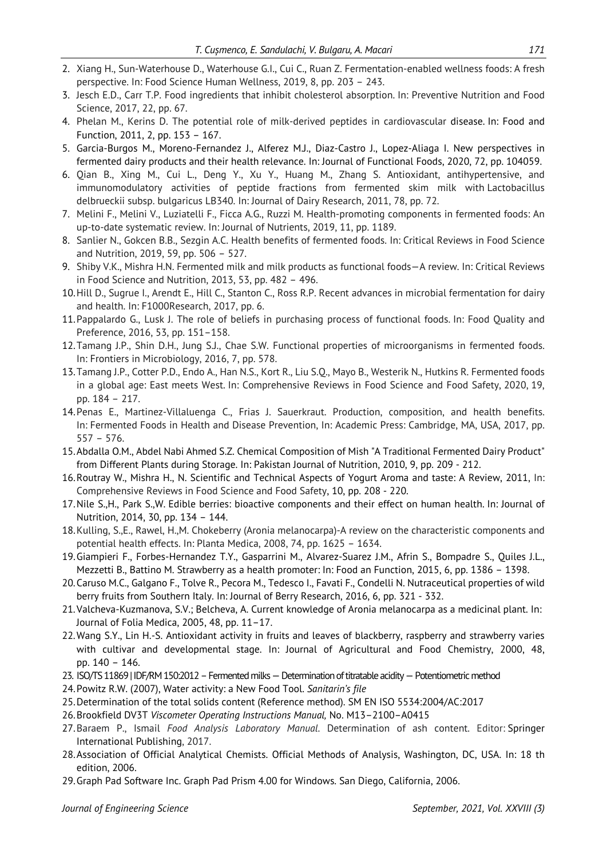- 2. Xiang H., Sun-Waterhouse D., Waterhouse G.I., Cui C., Ruan Z. Fermentation-enabled wellness foods: A fresh perspective. In: Food Science Human Wellness, 2019, 8, pp. 203 – 243.
- 3. Jesch E.D., Carr T.P. Food ingredients that inhibit cholesterol absorption. In: Preventive Nutrition and Food Science, 2017, 22, pp. 67.
- 4. Phelan M., Kerins D. The potential role of milk-derived peptides in cardiovascular disease. In: Food and Function, 2011, 2, pp. 153 – 167.
- 5. Garcia-Burgos M., Moreno-Fernandez J., Alferez M.J., Diaz-Castro J., Lopez-Aliaga I. New perspectives in fermented dairy products and their health relevance. In: Journal of Functional Foods, 2020, 72, pp. 104059.
- 6. Qian B., Xing M., Cui L., Deng Y., Xu Y., Huang M., Zhang S. Antioxidant, antihypertensive, and immunomodulatory activities of peptide fractions from fermented skim milk with Lactobacillus delbrueckii subsp. bulgaricus LB340. In: Journal of Dairy Research, 2011, 78, pp. 72.
- 7. Melini F., Melini V., Luziatelli F., Ficca A.G., Ruzzi M. Health-promoting components in fermented foods: An up-to-date systematic review. In: Journal of Nutrients, 2019, 11, pp. 1189.
- 8. Sanlier N., Gokcen B.B., Sezgin A.C. Health benefits of fermented foods. In: Critical Reviews in Food Science and Nutrition, 2019, 59, pp. 506 – 527.
- 9. Shiby V.K., Mishra H.N. Fermented milk and milk products as functional foods—A review. In: Critical Reviews in Food Science and Nutrition, 2013, 53, pp. 482 – 496.
- 10.Hill D., Sugrue I., Arendt E., Hill C., Stanton C., Ross R.P. Recent advances in microbial fermentation for dairy and health. In: F1000Research, 2017, pp. 6.
- 11.Pappalardo G., Lusk J. The role of beliefs in purchasing process of functional foods. In: Food Quality and Preference, 2016, 53, pp. 151–158.
- 12.Tamang J.P., Shin D.H., Jung S.J., Chae S.W. Functional properties of microorganisms in fermented foods. In: Frontiers in Microbiology, 2016, 7, pp. 578.
- 13.Tamang J.P., Cotter P.D., Endo A., Han N.S., Kort R., Liu S.Q., Mayo B., Westerik N., Hutkins R. Fermented foods in a global age: East meets West. In: Comprehensive Reviews in Food Science and Food Safety, 2020, 19, pp. 184 – 217.
- 14.Penas E., Martinez-Villaluenga C., Frias J. Sauerkraut. Production, composition, and health benefits. In: Fermented Foods in Health and Disease Prevention, In: Academic Press: Cambridge, MA, USA, 2017, pp. 557 – 576.
- 15.Abdalla O.M., Abdel Nabi Ahmed S.Z. Chemical Composition of Mish "A Traditional Fermented Dairy Product" from Different Plants during Storage. In: Pakistan Journal of Nutrition, 2010, 9, pp. 209 - 212.
- 16.Routray W., Mishra H., N. Scientific and Technical Aspects of Yogurt Aroma and taste: A Review, 2011, In: Comprehensive Reviews in Food Science and Food Safety, 10, pp. 208 - 220.
- 17.Nile S.,H., Park S.,W. Edible berries: bioactive components and their effect on human health. In: Journal of Nutrition, 2014, 30, pp. 134 – 144.
- 18.Kulling, S.,E., Rawel, H.,M. Chokeberry (Aronia melanocarpa)-A review on the characteristic components and potential health effects. In: Planta Medica, 2008, 74, pp. 1625 – 1634.
- 19.Giampieri F., Forbes-Hernandez T.Y., Gasparrini M., Alvarez-Suarez J.M., Afrin S., Bompadre S., Quiles J.L., Mezzetti B., Battino M. Strawberry as a health promoter: In: Food an Function, 2015, 6, pp. 1386 – 1398.
- 20.Caruso M.C., Galgano F., Tolve R., Pecora M., Tedesco I., Favati F., Condelli N. Nutraceutical properties of wild berry fruits from Southern Italy. In: Journal of Berry Research, 2016, 6, pp. 321 - 332.
- 21.Valcheva-Kuzmanova, S.V.; Belcheva, A. Current knowledge of Aronia melanocarpa as a medicinal plant. In: Journal of Folia Medica, 2005, 48, pp. 11–17.
- 22.Wang S.Y., Lin H.-S. Antioxidant activity in fruits and leaves of blackberry, raspberry and strawberry varies with cultivar and developmental stage. In: Journal of Agricultural and Food Chemistry, 2000, 48, pp. 140 – 146.
- 23. ISO/TS 11869| IDF/RM 150:2012 Fermented milks Determination of titratable acidity Potentiometric method
- 24.Powitz R.W. (2007), Water activity: a New Food Tool. *Sanitarin's file*
- 25.Determination of the total solids content (Reference method). SM EN ISO 5534:2004/AC:2017
- 26.Brookfield DV3T *Viscometer Operating Instructions Manual,* No. M13–2100–A0415
- 27.Baraem P., Ismail *Food Analysis Laboratory Manual*. Determination of ash content*.* Editor: [Springer](http://www.springer.com/) [International Publishing,](http://www.springer.com/) 2017.
- 28.Association of Official Analytical Chemists. Official Methods of Analysis, Washington, DC, USA. In: 18 th edition, 2006.
- 29.Graph Pad Software Inc. Graph Pad Prism 4.00 for Windows. San Diego, California, 2006.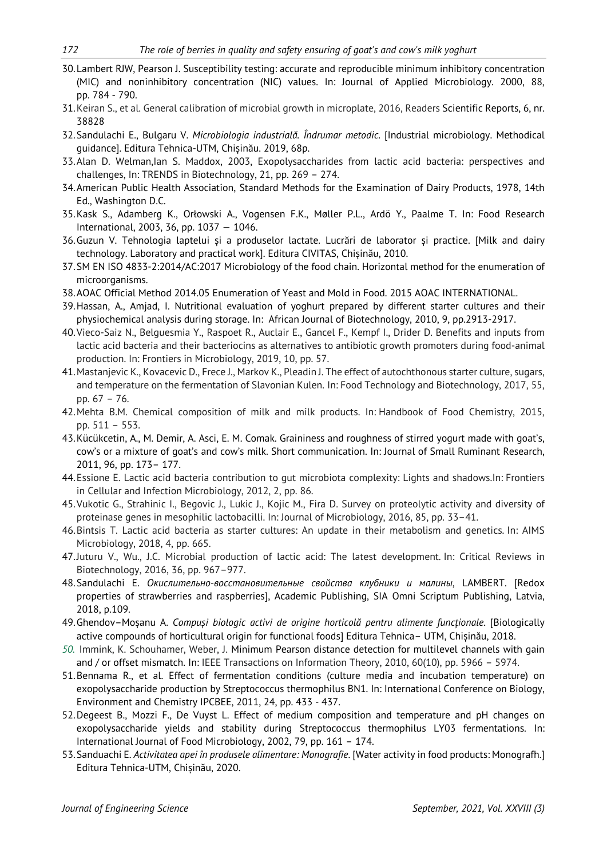- 30.Lambert RJW, Pearson J. Susceptibility testing: accurate and reproducible minimum inhibitory concentration (MIC) and noninhibitory concentration (NIC) values. In: Journal of Applied Microbiology. 2000, 88, pp. 784 - 790.
- 31.Keiran S., et al. General calibration of microbial growth in microplate, 2016, Readers Scientific Reports, 6, nr. 38828
- 32.Sandulachi E., Bulgaru V. *Microbiologia industrială. Îndrumar metodic*. [Industrial microbiology. Methodical guidance]. Editura Tehnica-UTM, Chișinău. 2019, 68p.
- 33.Alan D. Welman,Ian S. Maddox, 2003, Exopolysaccharides from lactic acid bacteria: perspectives and challenges, In: TRENDS in Biotechnology, 21, pp. 269 – 274.
- 34.American Public Health Association, Standard Methods for the Examination of Dairy Products, 1978, 14th Ed., Washington D.C.
- 35.Kask S., Adamberg K., Orłowski A., Vogensen F.K., Møller P.L., Ardö Y., Paalme T. In: Food Research International, 2003, 36, pp. 1037 — 1046.
- 36.Guzun V. Tehnologia laptelui și a produselor lactate. Lucrări de laborator și practice. [Milk and dairy technology. Laboratory and practical work]. Editura CIVITAS, Chișinău, 2010.
- 37.SM EN ISO 4833-2:2014/AC:2017 Microbiology of the food chain. Horizontal method for the enumeration of microorganisms.
- 38.AOAC Official Method 2014.05 Enumeration of Yeast and Mold in Food. 2015 AOAC INTERNATIONAL.
- 39.Hassan, A., Amjad, I. Nutritional evaluation of yoghurt prepared by different starter cultures and their physiochemical analysis during storage. In: African Journal of Biotechnology, 2010, 9, pp.2913-2917.
- 40.Vieco-Saiz N., Belguesmia Y., Raspoet R., Auclair E., Gancel F., Kempf I., Drider D. Benefits and inputs from lactic acid bacteria and their bacteriocins as alternatives to antibiotic growth promoters during food-animal production. In: Frontiers in Microbiology, 2019, 10, pp. 57.
- 41.Mastanjevic K., Kovacevic D., Frece J., Markov K., Pleadin J. The effect of autochthonous starter culture, sugars, and temperature on the fermentation of Slavonian Kulen. In: Food Technology and Biotechnology, 2017, 55, pp. 67 – 76.
- 42.Mehta B.M. Chemical composition of milk and milk products. In: Handbook of Food Chemistry, 2015, pp. 511 – 553.
- 43.Kücükcetin, A., M. Demir, A. Asci, E. M. Comak. Graininess and roughness of stirred yogurt made with goat's, cow's or a mixture of goat's and cow's milk. Short communication. In: Journal of Small Ruminant Research, 2011, 96, pp. 173– 177.
- 44.Essione E. Lactic acid bacteria contribution to gut microbiota complexity: Lights and shadows.In: Frontiers in Cellular and Infection Microbiology, 2012, 2, pp. 86.
- 45.Vukotic G., Strahinic I., Begovic J., Lukic J., Kojic M., Fira D. Survey on proteolytic activity and diversity of proteinase genes in mesophilic lactobacilli. In: Journal of Microbiology, 2016, 85, pp. 33–41.
- 46.Bintsis T. Lactic acid bacteria as starter cultures: An update in their metabolism and genetics. In: AIMS Microbiology, 2018, 4, pp. 665.
- 47.Juturu V., Wu., J.C. Microbial production of lactic acid: The latest development. In: Critical Reviews in Biotechnology, 2016, 36, pp. 967–977.
- 48.Sandulachi E. *Окислительно-восстановительные свойства клубники и малины*, LAMBERT. [Redox properties of strawberries and raspberries], Academic Publishing, SIA Omni Scriptum Publishing, Latvia, 2018, p.109.
- 49.Ghendov–Moșanu A. *Compuși biologic activi de origine horticolă pentru alimente funcționale*. [Biologically active compounds of horticultural origin for functional foods] Editura Tehnica– UTM, Chișinău, 2018.
- *50.* Immink, K. Schouhamer, Weber, J. [Minimum Pearson distance detection for multilevel channels with gain](https://www.researchgate.net/publication/265604603)  [and / or offset mismatch.](https://www.researchgate.net/publication/265604603) In: IEEE Transactions on Information Theory, 2010, 60(10), pp. 5966 – 5974.
- 51.Bennama R., et al. Effect of fermentation conditions (culture media and incubation temperature) on exopolysaccharide production by Streptococcus thermophilus BN1. In: International Conference on Biology, Environment and Chemistry IPCBEE, 2011, 24, pp. 433 - 437.
- 52.Degeest B., Mozzi F., De Vuyst L. Effect of medium composition and temperature and pH changes on exopolysaccharide yields and stability during Streptococcus thermophilus LY03 fermentations. In: International Journal of Food Microbiology, 2002, 79, pp. 161 – 174.
- 53.Sanduachi E. *Activitatea apei în produsele alimentare: Monografie*. [Water activity in food products: Monografh.] Editura [Tehnica-UTM,](http://catalog.bnrm.md/opac/publisher/64510;jsessionid=5FAE344A593C527F0F1D1507EB3A66B7) Chișinău, 2020.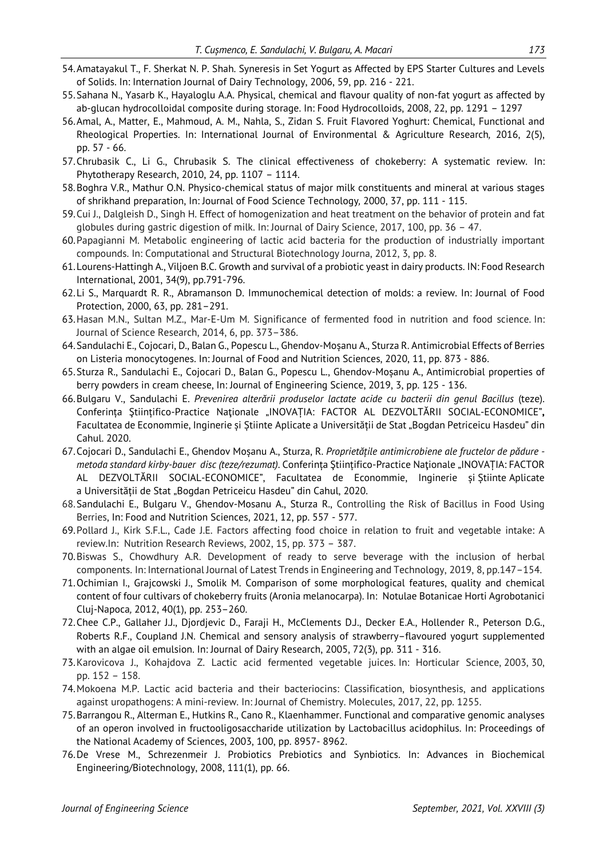- 54.Amatayakul T., F. Sherkat N. P. Shah. Syneresis in Set Yogurt as Affected by EPS Starter Cultures and Levels of Solids. In: Internation Journal of Dairy Technology, 2006, 59, pp. 216 - 221.
- 55.Sahana N., Yasarb K., Hayaloglu A.A. Physical, chemical and flavour quality of non-fat yogurt as affected by ab-glucan hydrocolloidal composite during storage. In: Food Hydrocolloids, 2008, 22, pp. 1291 – 1297
- 56.Amal, A., Matter, E., Mahmoud, A. M., Nahla, S., Zidan S. Fruit Flavored Yoghurt: Chemical, Functional and Rheological Properties. In: International Journal of Environmental & Agriculture Research*,* 2016, 2(5), pp. 57 - 66.
- 57.Chrubasik C., Li G., Chrubasik S. The clinical effectiveness of chokeberry: A systematic review. In: Phytotherapy Research, 2010, 24, pp. 1107 – 1114.
- 58.Boghra V.R., Mathur O.N. Physico-chemical status of major milk constituents and mineral at various stages of shrikhand preparation, In: Journal of Food Science Technology*,* 2000, 37, pp. 111 - 115.
- 59.Cui J., Dalgleish D., Singh H. Effect of homogenization and heat treatment on the behavior of protein and fat globules during gastric digestion of milk. In: Journal of Dairy Science, 2017, 100, pp. 36 – 47.
- 60.Papagianni M. Metabolic engineering of lactic acid bacteria for the production of industrially important compounds. In: Computational and Structural Biotechnology Journa, 2012, 3, pp. 8.
- 61.Lourens-Hattingh A., Viljoen B.C. Growth and survival of a probiotic yeast in dairy products. IN: Food Research International, 2001, 34(9), pp.791-796.
- 62.Li S., Marquardt R. R., Abramanson D. Immunochemical detection of molds: a review. In: Journal of Food Protection, 2000, 63, pp. 281–291.
- 63.Hasan M.N., Sultan M.Z., Mar-E-Um M. Significance of fermented food in nutrition and food science. In: Journal of Science Research, 2014, 6, pp. 373–386.
- 64.Sandulachi E., Cojocari, D., Balan G., Popescu L., Ghendov-Moșanu A., Sturza R. Antimicrobial Effects of Berries on Listeria monocytogenes. In: Journal of Food and Nutrition Sciences, 2020, 11, pp. 873 - 886.
- 65.Sturza R., Sandulachi E., Cojocari D., Balan G., Popescu L., Ghendov-Moșanu A., Antimicrobial properties of berry powders in cream cheese, In: Journal of Engineering Science, 2019, 3, pp. 125 - 136.
- 66.Bulgaru V., Sandulachi E. *Prevenirea alterării produselor lactate acide cu bacterii din genul Bacillus* (teze). Conferința Ştiințifico-Practice Naţionale "INOVAȚIA: FACTOR AL DEZVOLTĂRII SOCIAL-ECONOMICE"**,** Facultatea de Econommie, Inginerie și Știinte Aplicate a Universității de Stat "Bogdan Petriceicu Hasdeu" din Cahul. 2020.
- 67.Cojocari D., Sandulachi E., Ghendov Moșanu A., Sturza, R. *Proprietățile antimicrobiene ale fructelor de pădure metoda standard kirby-bauer disc (teze/rezumat)*. Conferința Ştiințifico-Practice Naţionale "INOVAȚIA: FACTOR AL DEZVOLTĂRII SOCIAL-ECONOMICE", Facultatea de Econommie, Inginerie și Știinte Aplicate a Universității de Stat "Bogdan Petriceicu Hasdeu" din Cahul, 2020.
- 68.Sandulachi E., Bulgaru V., Ghendov-Mosanu A., Sturza R., Controlling the Risk of Bacillus in Food Using Berries, In: Food and Nutrition Sciences, 2021, 12, pp. 557 - 577.
- 69.Pollard J., Kirk S.F.L., Cade J.E. Factors affecting food choice in relation to fruit and vegetable intake: A review.In: Nutrition Research Reviews, 2002, 15, pp. 373 – 387.
- 70.Biswas S., Chowdhury A.R. Development of ready to serve beverage with the inclusion of herbal components. In: International Journal of Latest Trends in Engineering and Technology, 2019, 8, pp.147–154.
- 71.Ochimian I., Grajcowski J., Smolik M. Comparison of some morphological features, quality and chemical content of four cultivars of chokeberry fruits (Aronia melanocarpa). In: Notulae Botanicae Horti Agrobotanici Cluj-Napoca*,* 2012, 40(1), pp. 253–260.
- 72.Chee C.P., Gallaher J.J., Djordjevic D., Faraji H., McClements D.J., Decker E.A., Hollender R., Peterson D.G., Roberts R.F., Coupland J.N. Chemical and sensory analysis of strawberry–flavoured yogurt supplemented with an algae oil emulsion. In: Journal of Dairy Research, 2005, 72(3), pp. 311 - 316.
- 73.Karovicova J., Kohajdova Z. Lactic acid fermented vegetable juices. In: Horticular Science, 2003, 30, pp. 152 – 158.
- 74.Mokoena M.P. Lactic acid bacteria and their bacteriocins: Classification, biosynthesis, and applications against uropathogens: A mini-review. In: Journal of Chemistry. Molecules, 2017, 22, pp. 1255.
- 75.Barrangou R., Alterman E., Hutkins R., Cano R., Klaenhammer. Functional and comparative genomic analyses of an operon involved in fructooligosaccharide utilization by Lactobacillus acidophilus. In: Proceedings of the National Academy of Sciences, 2003, 100, pp. 8957- 8962.
- 76.De Vrese M., Schrezenmeir J. Probiotics Prebiotics and Synbiotics. In: Advances in Biochemical Engineering/Biotechnology, 2008, 111(1), pp. 66.